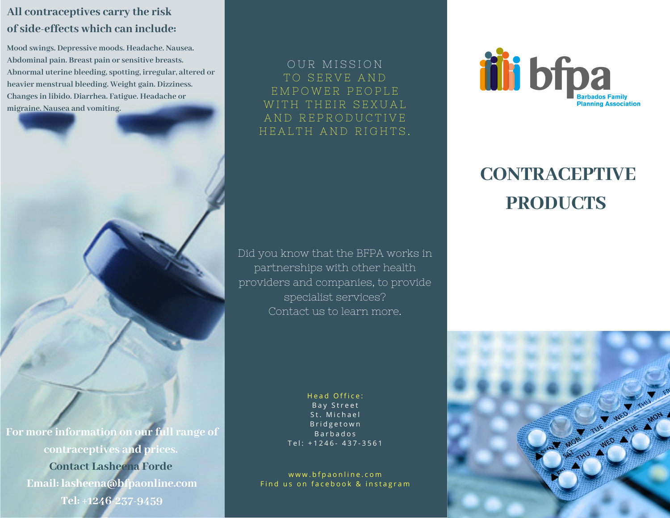## **All contraceptives carry the risk of side-effects which can include:**

**Mood swings. Depressive moods. Headache. Nausea. Abdominal pain. Breast pain or sensitive breasts. Abnormal uterine bleeding, spotting, irregular, altered or heavier menstrual bleeding. Weight gain. Dizziness. Changes in libido. Diarrhea. Fatigue. Headache or migraine. Nausea and vomiting.**

TO SERVE AND E M P O W E R P E O P L E WITH THEIR SEXUAL AND REPRODUCTIVE HEALTH AND RIGHTS.

OUR MISSION

Did you know that the BFPA works in partnerships with other health providers and companies, to provide specialist services? Contact us to learn more.

**For more information on our full range of contraceptives and prices. Contact Lasheena Forde Email: lasheena@bfpaonline.com Tel: +1246-237-9459**

Head Office: Bay Street St. Michael B r i d g e t o w n B a r b a d o s Tel: +1246- 437-3561

www.bfpaonline.com Find us on facebook & instagram



## **CONTRACEPTIVE PRODUCTS**